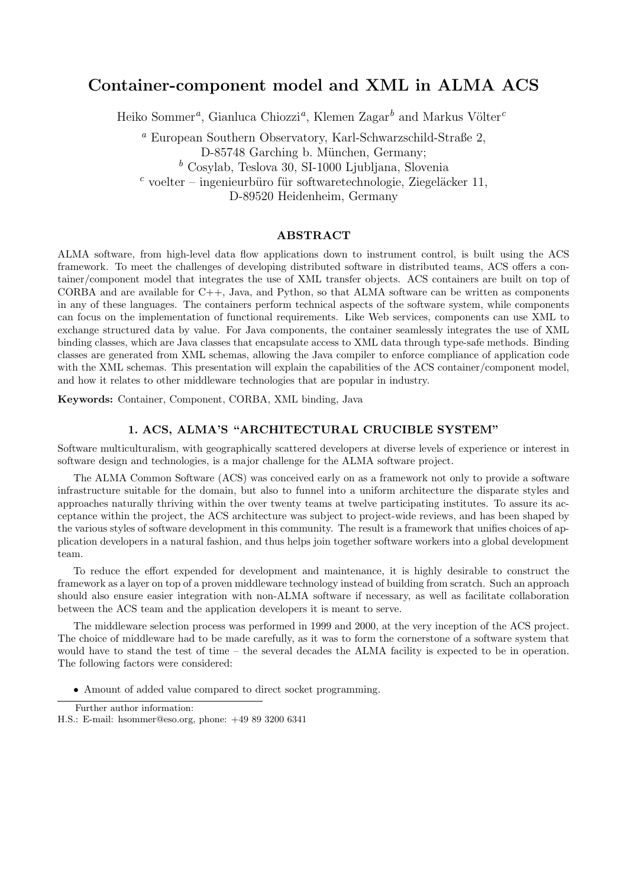# Container-component model and XML in ALMA ACS

Heiko Sommer<sup>a</sup>, Gianluca Chiozzi<sup>a</sup>, Klemen Zagar<sup>b</sup> and Markus Völter<sup>c</sup>

<sup>a</sup> European Southern Observatory, Karl-Schwarzschild-Straße 2,

 $<sup>b</sup>$  Cosylab, Teslova 30, SI-1000 Ljubljana, Slovenia</sup>

 $c$  voelter – ingenieurbüro für softwaretechnologie, Ziegeläcker 11,

D-89520 Heidenheim, Germany

## ABSTRACT

ALMA software, from high-level data flow applications down to instrument control, is built using the ACS framework. To meet the challenges of developing distributed software in distributed teams, ACS offers a container/component model that integrates the use of XML transfer objects. ACS containers are built on top of CORBA and are available for C++, Java, and Python, so that ALMA software can be written as components in any of these languages. The containers perform technical aspects of the software system, while components can focus on the implementation of functional requirements. Like Web services, components can use XML to exchange structured data by value. For Java components, the container seamlessly integrates the use of XML binding classes, which are Java classes that encapsulate access to XML data through type-safe methods. Binding classes are generated from XML schemas, allowing the Java compiler to enforce compliance of application code with the XML schemas. This presentation will explain the capabilities of the ACS container/component model, and how it relates to other middleware technologies that are popular in industry.

Keywords: Container, Component, CORBA, XML binding, Java

#### 1. ACS, ALMA'S "ARCHITECTURAL CRUCIBLE SYSTEM"

Software multiculturalism, with geographically scattered developers at diverse levels of experience or interest in software design and technologies, is a major challenge for the ALMA software project.

The ALMA Common Software (ACS) was conceived early on as a framework not only to provide a software infrastructure suitable for the domain, but also to funnel into a uniform architecture the disparate styles and approaches naturally thriving within the over twenty teams at twelve participating institutes. To assure its acceptance within the project, the ACS architecture was subject to project-wide reviews, and has been shaped by the various styles of software development in this community. The result is a framework that unifies choices of application developers in a natural fashion, and thus helps join together software workers into a global development team.

To reduce the effort expended for development and maintenance, it is highly desirable to construct the framework as a layer on top of a proven middleware technology instead of building from scratch. Such an approach should also ensure easier integration with non-ALMA software if necessary, as well as facilitate collaboration between the ACS team and the application developers it is meant to serve.

The middleware selection process was performed in 1999 and 2000, at the very inception of the ACS project. The choice of middleware had to be made carefully, as it was to form the cornerstone of a software system that would have to stand the test of time – the several decades the ALMA facility is expected to be in operation. The following factors were considered:

• Amount of added value compared to direct socket programming.

D-85748 Garching b. München, Germany;

Further author information:

H.S.: E-mail: hsommer@eso.org, phone: +49 89 3200 6341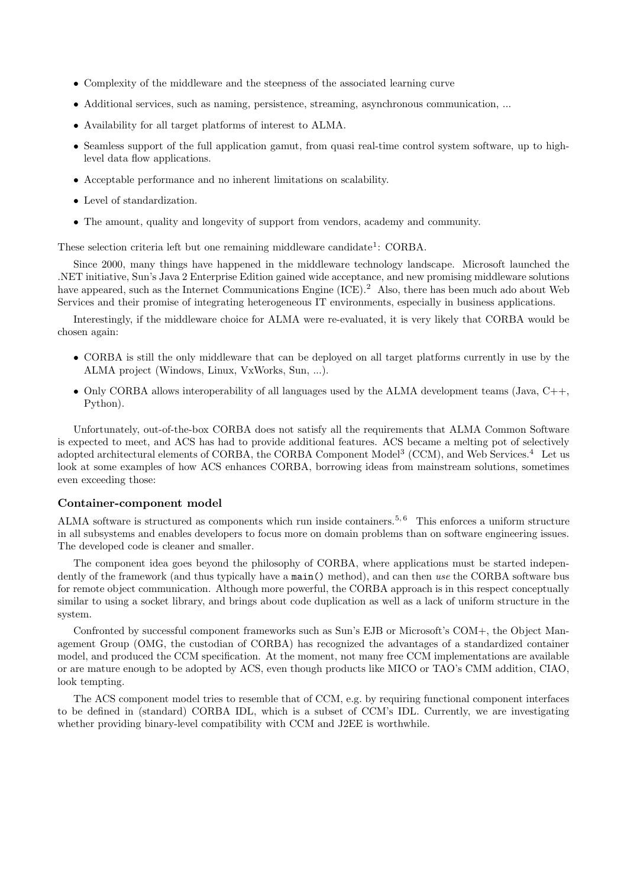- Complexity of the middleware and the steepness of the associated learning curve
- Additional services, such as naming, persistence, streaming, asynchronous communication, ...
- Availability for all target platforms of interest to ALMA.
- Seamless support of the full application gamut, from quasi real-time control system software, up to highlevel data flow applications.
- Acceptable performance and no inherent limitations on scalability.
- Level of standardization.
- The amount, quality and longevity of support from vendors, academy and community.

These selection criteria left but one remaining middleware candidate<sup>1</sup>: CORBA.

Since 2000, many things have happened in the middleware technology landscape. Microsoft launched the .NET initiative, Sun's Java 2 Enterprise Edition gained wide acceptance, and new promising middleware solutions have appeared, such as the Internet Communications Engine (ICE).<sup>2</sup> Also, there has been much ado about Web Services and their promise of integrating heterogeneous IT environments, especially in business applications.

Interestingly, if the middleware choice for ALMA were re-evaluated, it is very likely that CORBA would be chosen again:

- CORBA is still the only middleware that can be deployed on all target platforms currently in use by the ALMA project (Windows, Linux, VxWorks, Sun, ...).
- Only CORBA allows interoperability of all languages used by the ALMA development teams (Java,  $C_{++}$ , Python).

Unfortunately, out-of-the-box CORBA does not satisfy all the requirements that ALMA Common Software is expected to meet, and ACS has had to provide additional features. ACS became a melting pot of selectively adopted architectural elements of CORBA, the CORBA Component Model<sup>3</sup> (CCM), and Web Services.<sup>4</sup> Let us look at some examples of how ACS enhances CORBA, borrowing ideas from mainstream solutions, sometimes even exceeding those:

## Container-component model

ALMA software is structured as components which run inside containers.<sup>5, 6</sup> This enforces a uniform structure in all subsystems and enables developers to focus more on domain problems than on software engineering issues. The developed code is cleaner and smaller.

The component idea goes beyond the philosophy of CORBA, where applications must be started independently of the framework (and thus typically have a main() method), and can then use the CORBA software bus for remote object communication. Although more powerful, the CORBA approach is in this respect conceptually similar to using a socket library, and brings about code duplication as well as a lack of uniform structure in the system.

Confronted by successful component frameworks such as Sun's EJB or Microsoft's COM+, the Object Management Group (OMG, the custodian of CORBA) has recognized the advantages of a standardized container model, and produced the CCM specification. At the moment, not many free CCM implementations are available or are mature enough to be adopted by ACS, even though products like MICO or TAO's CMM addition, CIAO, look tempting.

The ACS component model tries to resemble that of CCM, e.g. by requiring functional component interfaces to be defined in (standard) CORBA IDL, which is a subset of CCM's IDL. Currently, we are investigating whether providing binary-level compatibility with CCM and J2EE is worthwhile.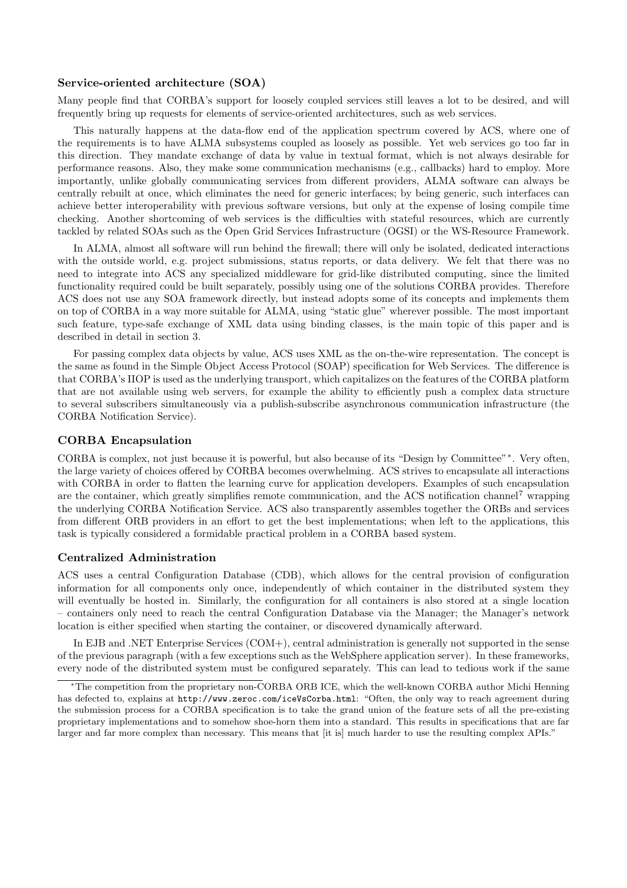## Service-oriented architecture (SOA)

Many people find that CORBA's support for loosely coupled services still leaves a lot to be desired, and will frequently bring up requests for elements of service-oriented architectures, such as web services.

This naturally happens at the data-flow end of the application spectrum covered by ACS, where one of the requirements is to have ALMA subsystems coupled as loosely as possible. Yet web services go too far in this direction. They mandate exchange of data by value in textual format, which is not always desirable for performance reasons. Also, they make some communication mechanisms (e.g., callbacks) hard to employ. More importantly, unlike globally communicating services from different providers, ALMA software can always be centrally rebuilt at once, which eliminates the need for generic interfaces; by being generic, such interfaces can achieve better interoperability with previous software versions, but only at the expense of losing compile time checking. Another shortcoming of web services is the difficulties with stateful resources, which are currently tackled by related SOAs such as the Open Grid Services Infrastructure (OGSI) or the WS-Resource Framework.

In ALMA, almost all software will run behind the firewall; there will only be isolated, dedicated interactions with the outside world, e.g. project submissions, status reports, or data delivery. We felt that there was no need to integrate into ACS any specialized middleware for grid-like distributed computing, since the limited functionality required could be built separately, possibly using one of the solutions CORBA provides. Therefore ACS does not use any SOA framework directly, but instead adopts some of its concepts and implements them on top of CORBA in a way more suitable for ALMA, using "static glue" wherever possible. The most important such feature, type-safe exchange of XML data using binding classes, is the main topic of this paper and is described in detail in section 3.

For passing complex data objects by value, ACS uses XML as the on-the-wire representation. The concept is the same as found in the Simple Object Access Protocol (SOAP) specification for Web Services. The difference is that CORBA's IIOP is used as the underlying transport, which capitalizes on the features of the CORBA platform that are not available using web servers, for example the ability to efficiently push a complex data structure to several subscribers simultaneously via a publish-subscribe asynchronous communication infrastructure (the CORBA Notification Service).

## CORBA Encapsulation

CORBA is complex, not just because it is powerful, but also because of its "Design by Committee"<sup>∗</sup> . Very often, the large variety of choices offered by CORBA becomes overwhelming. ACS strives to encapsulate all interactions with CORBA in order to flatten the learning curve for application developers. Examples of such encapsulation are the container, which greatly simplifies remote communication, and the ACS notification channel<sup>7</sup> wrapping the underlying CORBA Notification Service. ACS also transparently assembles together the ORBs and services from different ORB providers in an effort to get the best implementations; when left to the applications, this task is typically considered a formidable practical problem in a CORBA based system.

#### Centralized Administration

ACS uses a central Configuration Database (CDB), which allows for the central provision of configuration information for all components only once, independently of which container in the distributed system they will eventually be hosted in. Similarly, the configuration for all containers is also stored at a single location – containers only need to reach the central Configuration Database via the Manager; the Manager's network location is either specified when starting the container, or discovered dynamically afterward.

In EJB and .NET Enterprise Services (COM+), central administration is generally not supported in the sense of the previous paragraph (with a few exceptions such as the WebSphere application server). In these frameworks, every node of the distributed system must be configured separately. This can lead to tedious work if the same

<sup>∗</sup>The competition from the proprietary non-CORBA ORB ICE, which the well-known CORBA author Michi Henning has defected to, explains at http://www.zeroc.com/iceVsCorba.html: "Often, the only way to reach agreement during the submission process for a CORBA specification is to take the grand union of the feature sets of all the pre-existing proprietary implementations and to somehow shoe-horn them into a standard. This results in specifications that are far larger and far more complex than necessary. This means that [it is] much harder to use the resulting complex APIs."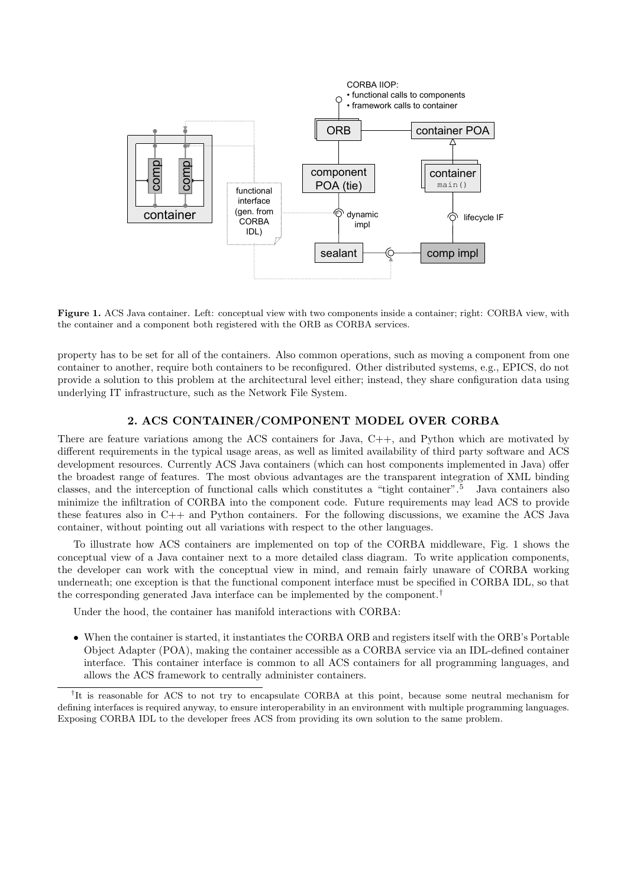

Figure 1. ACS Java container. Left: conceptual view with two components inside a container; right: CORBA view, with the container and a component both registered with the ORB as CORBA services.

property has to be set for all of the containers. Also common operations, such as moving a component from one container to another, require both containers to be reconfigured. Other distributed systems, e.g., EPICS, do not provide a solution to this problem at the architectural level either; instead, they share configuration data using underlying IT infrastructure, such as the Network File System.

## 2. ACS CONTAINER/COMPONENT MODEL OVER CORBA

There are feature variations among the ACS containers for Java, C++, and Python which are motivated by different requirements in the typical usage areas, as well as limited availability of third party software and ACS development resources. Currently ACS Java containers (which can host components implemented in Java) offer the broadest range of features. The most obvious advantages are the transparent integration of XML binding classes, and the interception of functional calls which constitutes a "tight container".<sup>5</sup> Java containers also minimize the infiltration of CORBA into the component code. Future requirements may lead ACS to provide these features also in  $C_{++}$  and Python containers. For the following discussions, we examine the ACS Java container, without pointing out all variations with respect to the other languages.

To illustrate how ACS containers are implemented on top of the CORBA middleware, Fig. 1 shows the conceptual view of a Java container next to a more detailed class diagram. To write application components, the developer can work with the conceptual view in mind, and remain fairly unaware of CORBA working underneath; one exception is that the functional component interface must be specified in CORBA IDL, so that the corresponding generated Java interface can be implemented by the component.<sup>†</sup>

Under the hood, the container has manifold interactions with CORBA:

• When the container is started, it instantiates the CORBA ORB and registers itself with the ORB's Portable Object Adapter (POA), making the container accessible as a CORBA service via an IDL-defined container interface. This container interface is common to all ACS containers for all programming languages, and allows the ACS framework to centrally administer containers.

<sup>†</sup>It is reasonable for ACS to not try to encapsulate CORBA at this point, because some neutral mechanism for defining interfaces is required anyway, to ensure interoperability in an environment with multiple programming languages. Exposing CORBA IDL to the developer frees ACS from providing its own solution to the same problem.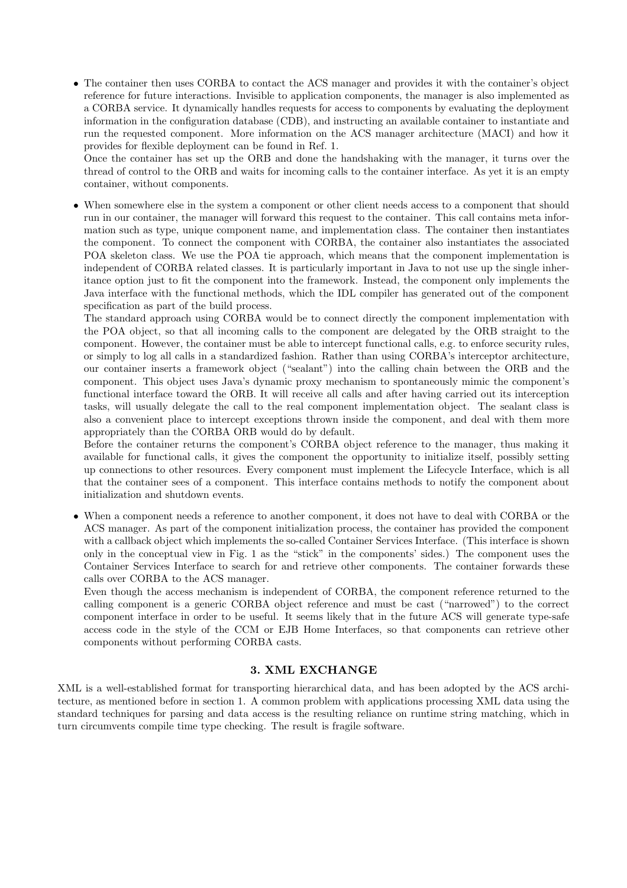• The container then uses CORBA to contact the ACS manager and provides it with the container's object reference for future interactions. Invisible to application components, the manager is also implemented as a CORBA service. It dynamically handles requests for access to components by evaluating the deployment information in the configuration database (CDB), and instructing an available container to instantiate and run the requested component. More information on the ACS manager architecture (MACI) and how it provides for flexible deployment can be found in Ref. 1.

Once the container has set up the ORB and done the handshaking with the manager, it turns over the thread of control to the ORB and waits for incoming calls to the container interface. As yet it is an empty container, without components.

• When somewhere else in the system a component or other client needs access to a component that should run in our container, the manager will forward this request to the container. This call contains meta information such as type, unique component name, and implementation class. The container then instantiates the component. To connect the component with CORBA, the container also instantiates the associated POA skeleton class. We use the POA tie approach, which means that the component implementation is independent of CORBA related classes. It is particularly important in Java to not use up the single inheritance option just to fit the component into the framework. Instead, the component only implements the Java interface with the functional methods, which the IDL compiler has generated out of the component specification as part of the build process.

The standard approach using CORBA would be to connect directly the component implementation with the POA object, so that all incoming calls to the component are delegated by the ORB straight to the component. However, the container must be able to intercept functional calls, e.g. to enforce security rules, or simply to log all calls in a standardized fashion. Rather than using CORBA's interceptor architecture, our container inserts a framework object ("sealant") into the calling chain between the ORB and the component. This object uses Java's dynamic proxy mechanism to spontaneously mimic the component's functional interface toward the ORB. It will receive all calls and after having carried out its interception tasks, will usually delegate the call to the real component implementation object. The sealant class is also a convenient place to intercept exceptions thrown inside the component, and deal with them more appropriately than the CORBA ORB would do by default.

Before the container returns the component's CORBA object reference to the manager, thus making it available for functional calls, it gives the component the opportunity to initialize itself, possibly setting up connections to other resources. Every component must implement the Lifecycle Interface, which is all that the container sees of a component. This interface contains methods to notify the component about initialization and shutdown events.

• When a component needs a reference to another component, it does not have to deal with CORBA or the ACS manager. As part of the component initialization process, the container has provided the component with a callback object which implements the so-called Container Services Interface. (This interface is shown only in the conceptual view in Fig. 1 as the "stick" in the components' sides.) The component uses the Container Services Interface to search for and retrieve other components. The container forwards these calls over CORBA to the ACS manager.

Even though the access mechanism is independent of CORBA, the component reference returned to the calling component is a generic CORBA object reference and must be cast ("narrowed") to the correct component interface in order to be useful. It seems likely that in the future ACS will generate type-safe access code in the style of the CCM or EJB Home Interfaces, so that components can retrieve other components without performing CORBA casts.

## 3. XML EXCHANGE

XML is a well-established format for transporting hierarchical data, and has been adopted by the ACS architecture, as mentioned before in section 1. A common problem with applications processing XML data using the standard techniques for parsing and data access is the resulting reliance on runtime string matching, which in turn circumvents compile time type checking. The result is fragile software.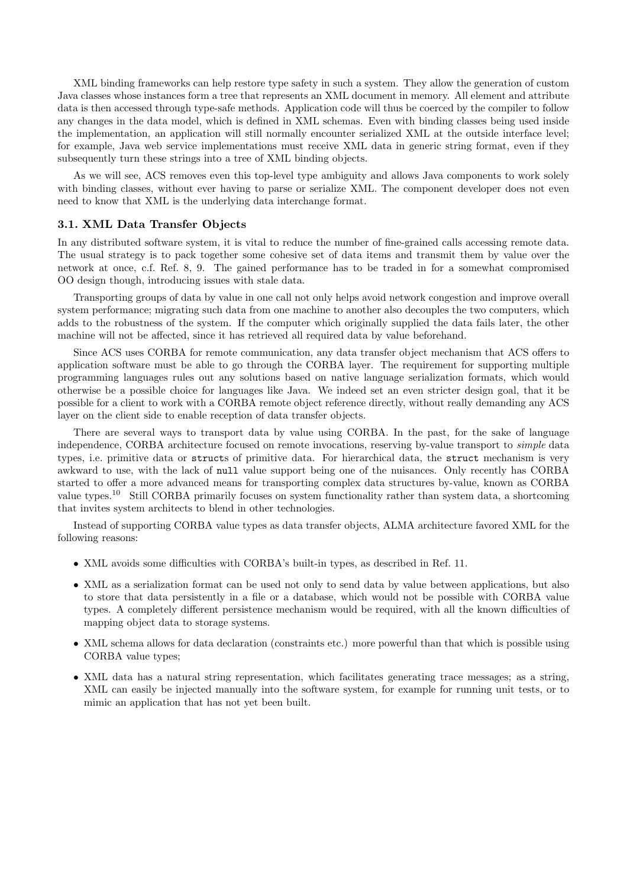XML binding frameworks can help restore type safety in such a system. They allow the generation of custom Java classes whose instances form a tree that represents an XML document in memory. All element and attribute data is then accessed through type-safe methods. Application code will thus be coerced by the compiler to follow any changes in the data model, which is defined in XML schemas. Even with binding classes being used inside the implementation, an application will still normally encounter serialized XML at the outside interface level; for example, Java web service implementations must receive XML data in generic string format, even if they subsequently turn these strings into a tree of XML binding objects.

As we will see, ACS removes even this top-level type ambiguity and allows Java components to work solely with binding classes, without ever having to parse or serialize XML. The component developer does not even need to know that XML is the underlying data interchange format.

## 3.1. XML Data Transfer Objects

In any distributed software system, it is vital to reduce the number of fine-grained calls accessing remote data. The usual strategy is to pack together some cohesive set of data items and transmit them by value over the network at once, c.f. Ref. 8, 9. The gained performance has to be traded in for a somewhat compromised OO design though, introducing issues with stale data.

Transporting groups of data by value in one call not only helps avoid network congestion and improve overall system performance; migrating such data from one machine to another also decouples the two computers, which adds to the robustness of the system. If the computer which originally supplied the data fails later, the other machine will not be affected, since it has retrieved all required data by value beforehand.

Since ACS uses CORBA for remote communication, any data transfer object mechanism that ACS offers to application software must be able to go through the CORBA layer. The requirement for supporting multiple programming languages rules out any solutions based on native language serialization formats, which would otherwise be a possible choice for languages like Java. We indeed set an even stricter design goal, that it be possible for a client to work with a CORBA remote object reference directly, without really demanding any ACS layer on the client side to enable reception of data transfer objects.

There are several ways to transport data by value using CORBA. In the past, for the sake of language independence, CORBA architecture focused on remote invocations, reserving by-value transport to simple data types, i.e. primitive data or structs of primitive data. For hierarchical data, the struct mechanism is very awkward to use, with the lack of null value support being one of the nuisances. Only recently has CORBA started to offer a more advanced means for transporting complex data structures by-value, known as CORBA value types.<sup>10</sup> Still CORBA primarily focuses on system functionality rather than system data, a shortcoming that invites system architects to blend in other technologies.

Instead of supporting CORBA value types as data transfer objects, ALMA architecture favored XML for the following reasons:

- XML avoids some difficulties with CORBA's built-in types, as described in Ref. 11.
- XML as a serialization format can be used not only to send data by value between applications, but also to store that data persistently in a file or a database, which would not be possible with CORBA value types. A completely different persistence mechanism would be required, with all the known difficulties of mapping object data to storage systems.
- XML schema allows for data declaration (constraints etc.) more powerful than that which is possible using CORBA value types;
- XML data has a natural string representation, which facilitates generating trace messages; as a string, XML can easily be injected manually into the software system, for example for running unit tests, or to mimic an application that has not yet been built.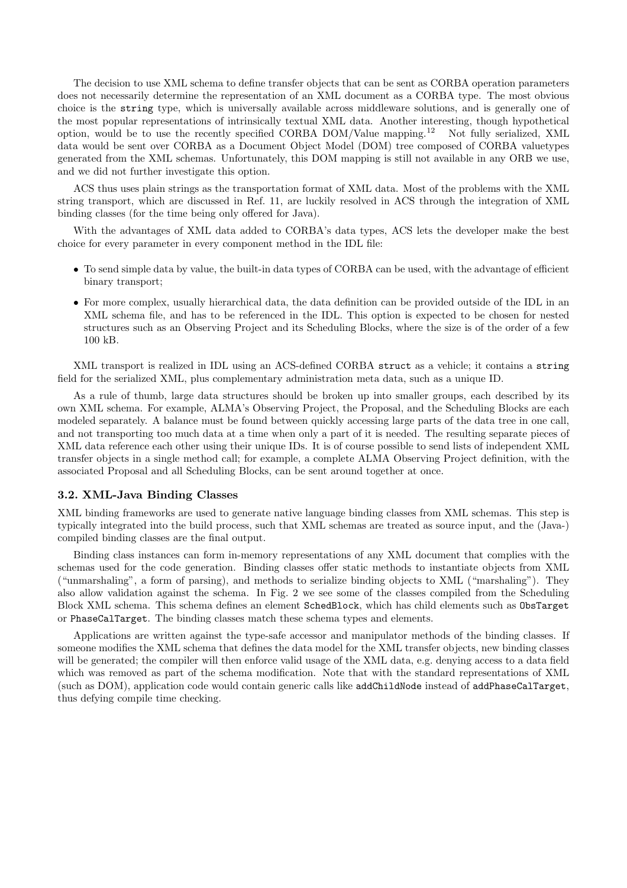The decision to use XML schema to define transfer objects that can be sent as CORBA operation parameters does not necessarily determine the representation of an XML document as a CORBA type. The most obvious choice is the string type, which is universally available across middleware solutions, and is generally one of the most popular representations of intrinsically textual XML data. Another interesting, though hypothetical option, would be to use the recently specified CORBA DOM/Value mapping.<sup>12</sup> Not fully serialized, XML data would be sent over CORBA as a Document Object Model (DOM) tree composed of CORBA valuetypes generated from the XML schemas. Unfortunately, this DOM mapping is still not available in any ORB we use, and we did not further investigate this option.

ACS thus uses plain strings as the transportation format of XML data. Most of the problems with the XML string transport, which are discussed in Ref. 11, are luckily resolved in ACS through the integration of XML binding classes (for the time being only offered for Java).

With the advantages of XML data added to CORBA's data types, ACS lets the developer make the best choice for every parameter in every component method in the IDL file:

- To send simple data by value, the built-in data types of CORBA can be used, with the advantage of efficient binary transport;
- For more complex, usually hierarchical data, the data definition can be provided outside of the IDL in an XML schema file, and has to be referenced in the IDL. This option is expected to be chosen for nested structures such as an Observing Project and its Scheduling Blocks, where the size is of the order of a few 100 kB.

XML transport is realized in IDL using an ACS-defined CORBA struct as a vehicle; it contains a string field for the serialized XML, plus complementary administration meta data, such as a unique ID.

As a rule of thumb, large data structures should be broken up into smaller groups, each described by its own XML schema. For example, ALMA's Observing Project, the Proposal, and the Scheduling Blocks are each modeled separately. A balance must be found between quickly accessing large parts of the data tree in one call, and not transporting too much data at a time when only a part of it is needed. The resulting separate pieces of XML data reference each other using their unique IDs. It is of course possible to send lists of independent XML transfer objects in a single method call; for example, a complete ALMA Observing Project definition, with the associated Proposal and all Scheduling Blocks, can be sent around together at once.

## 3.2. XML-Java Binding Classes

XML binding frameworks are used to generate native language binding classes from XML schemas. This step is typically integrated into the build process, such that XML schemas are treated as source input, and the (Java-) compiled binding classes are the final output.

Binding class instances can form in-memory representations of any XML document that complies with the schemas used for the code generation. Binding classes offer static methods to instantiate objects from XML ("unmarshaling", a form of parsing), and methods to serialize binding objects to XML ("marshaling"). They also allow validation against the schema. In Fig. 2 we see some of the classes compiled from the Scheduling Block XML schema. This schema defines an element SchedBlock, which has child elements such as ObsTarget or PhaseCalTarget. The binding classes match these schema types and elements.

Applications are written against the type-safe accessor and manipulator methods of the binding classes. If someone modifies the XML schema that defines the data model for the XML transfer objects, new binding classes will be generated; the compiler will then enforce valid usage of the XML data, e.g. denying access to a data field which was removed as part of the schema modification. Note that with the standard representations of XML (such as DOM), application code would contain generic calls like addChildNode instead of addPhaseCalTarget, thus defying compile time checking.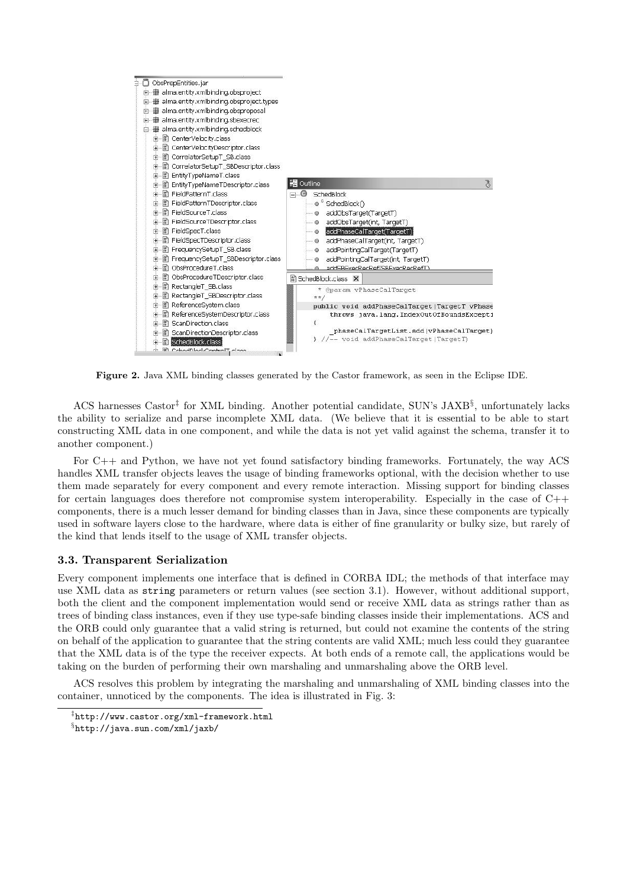

Figure 2. Java XML binding classes generated by the Castor framework, as seen in the Eclipse IDE.

ACS harnesses Castor<sup>‡</sup> for XML binding. Another potential candidate, SUN's JAXB<sup>§</sup>, unfortunately lacks the ability to serialize and parse incomplete XML data. (We believe that it is essential to be able to start constructing XML data in one component, and while the data is not yet valid against the schema, transfer it to another component.)

For C++ and Python, we have not yet found satisfactory binding frameworks. Fortunately, the way ACS handles XML transfer objects leaves the usage of binding frameworks optional, with the decision whether to use them made separately for every component and every remote interaction. Missing support for binding classes for certain languages does therefore not compromise system interoperability. Especially in the case of C++ components, there is a much lesser demand for binding classes than in Java, since these components are typically used in software layers close to the hardware, where data is either of fine granularity or bulky size, but rarely of the kind that lends itself to the usage of XML transfer objects.

## 3.3. Transparent Serialization

Every component implements one interface that is defined in CORBA IDL; the methods of that interface may use XML data as string parameters or return values (see section 3.1). However, without additional support, both the client and the component implementation would send or receive XML data as strings rather than as trees of binding class instances, even if they use type-safe binding classes inside their implementations. ACS and the ORB could only guarantee that a valid string is returned, but could not examine the contents of the string on behalf of the application to guarantee that the string contents are valid XML; much less could they guarantee that the XML data is of the type the receiver expects. At both ends of a remote call, the applications would be taking on the burden of performing their own marshaling and unmarshaling above the ORB level.

ACS resolves this problem by integrating the marshaling and unmarshaling of XML binding classes into the container, unnoticed by the components. The idea is illustrated in Fig. 3:

<sup>‡</sup> http://www.castor.org/xml-framework.html

<sup>§</sup> http://java.sun.com/xml/jaxb/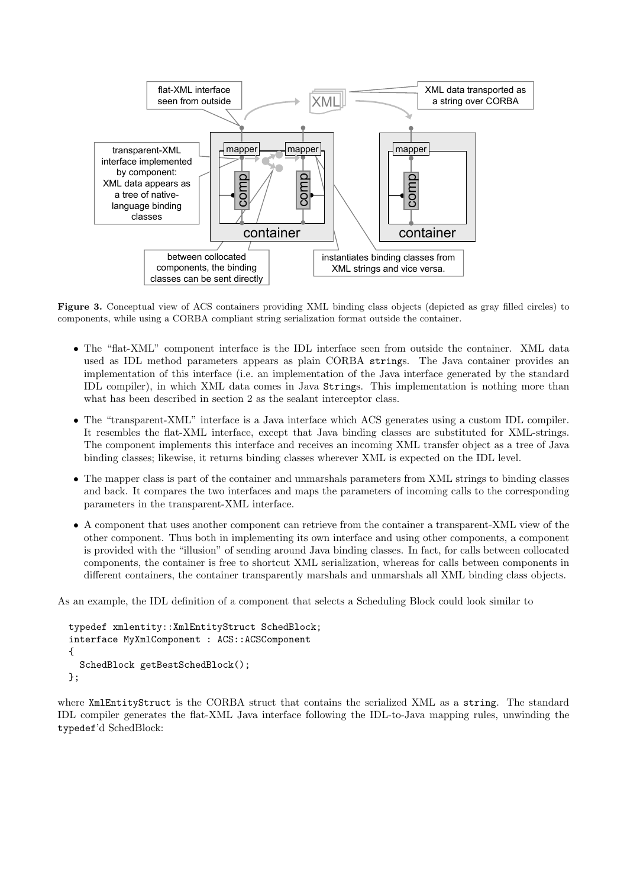

Figure 3. Conceptual view of ACS containers providing XML binding class objects (depicted as gray filled circles) to components, while using a CORBA compliant string serialization format outside the container.

- The "flat-XML" component interface is the IDL interface seen from outside the container. XML data used as IDL method parameters appears as plain CORBA strings. The Java container provides an implementation of this interface (i.e. an implementation of the Java interface generated by the standard IDL compiler), in which XML data comes in Java Strings. This implementation is nothing more than what has been described in section 2 as the sealant interceptor class.
- The "transparent-XML" interface is a Java interface which ACS generates using a custom IDL compiler. It resembles the flat-XML interface, except that Java binding classes are substituted for XML-strings. The component implements this interface and receives an incoming XML transfer object as a tree of Java binding classes; likewise, it returns binding classes wherever XML is expected on the IDL level.
- The mapper class is part of the container and unmarshals parameters from XML strings to binding classes and back. It compares the two interfaces and maps the parameters of incoming calls to the corresponding parameters in the transparent-XML interface.
- A component that uses another component can retrieve from the container a transparent-XML view of the other component. Thus both in implementing its own interface and using other components, a component is provided with the "illusion" of sending around Java binding classes. In fact, for calls between collocated components, the container is free to shortcut XML serialization, whereas for calls between components in different containers, the container transparently marshals and unmarshals all XML binding class objects.

As an example, the IDL definition of a component that selects a Scheduling Block could look similar to

```
typedef xmlentity::XmlEntityStruct SchedBlock;
interface MyXmlComponent : ACS::ACSComponent
{
  SchedBlock getBestSchedBlock();
};
```
where XmlEntityStruct is the CORBA struct that contains the serialized XML as a string. The standard IDL compiler generates the flat-XML Java interface following the IDL-to-Java mapping rules, unwinding the typedef'd SchedBlock: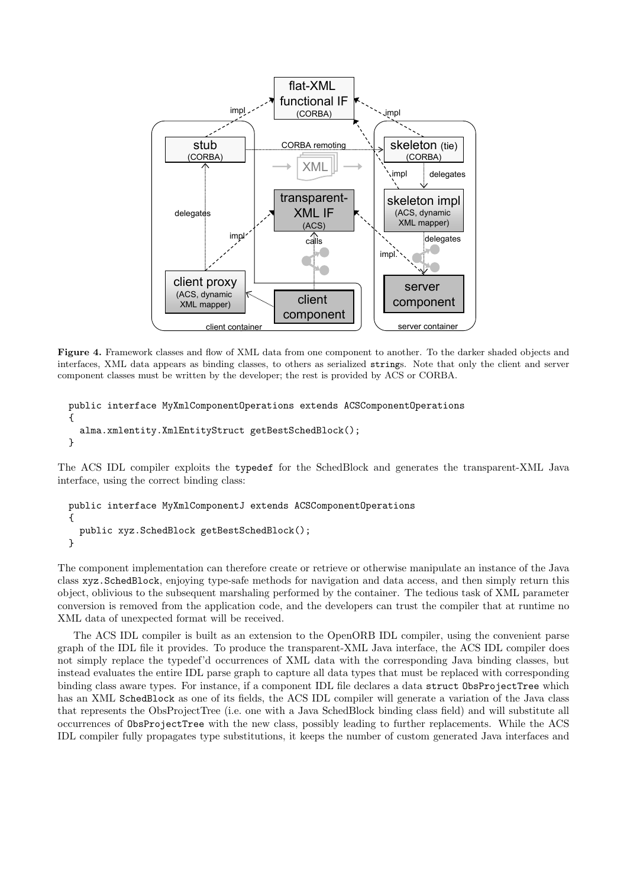

Figure 4. Framework classes and flow of XML data from one component to another. To the darker shaded objects and interfaces, XML data appears as binding classes, to others as serialized strings. Note that only the client and server component classes must be written by the developer; the rest is provided by ACS or CORBA.

```
public interface MyXmlComponentOperations extends ACSComponentOperations
{
  alma.xmlentity.XmlEntityStruct getBestSchedBlock();
}
```
The ACS IDL compiler exploits the typedef for the SchedBlock and generates the transparent-XML Java interface, using the correct binding class:

```
public interface MyXmlComponentJ extends ACSComponentOperations
{
  public xyz.SchedBlock getBestSchedBlock();
}
```
The component implementation can therefore create or retrieve or otherwise manipulate an instance of the Java class xyz.SchedBlock, enjoying type-safe methods for navigation and data access, and then simply return this object, oblivious to the subsequent marshaling performed by the container. The tedious task of XML parameter conversion is removed from the application code, and the developers can trust the compiler that at runtime no XML data of unexpected format will be received.

The ACS IDL compiler is built as an extension to the OpenORB IDL compiler, using the convenient parse graph of the IDL file it provides. To produce the transparent-XML Java interface, the ACS IDL compiler does not simply replace the typedef'd occurrences of XML data with the corresponding Java binding classes, but instead evaluates the entire IDL parse graph to capture all data types that must be replaced with corresponding binding class aware types. For instance, if a component IDL file declares a data struct ObsProjectTree which has an XML SchedBlock as one of its fields, the ACS IDL compiler will generate a variation of the Java class that represents the ObsProjectTree (i.e. one with a Java SchedBlock binding class field) and will substitute all occurrences of ObsProjectTree with the new class, possibly leading to further replacements. While the ACS IDL compiler fully propagates type substitutions, it keeps the number of custom generated Java interfaces and